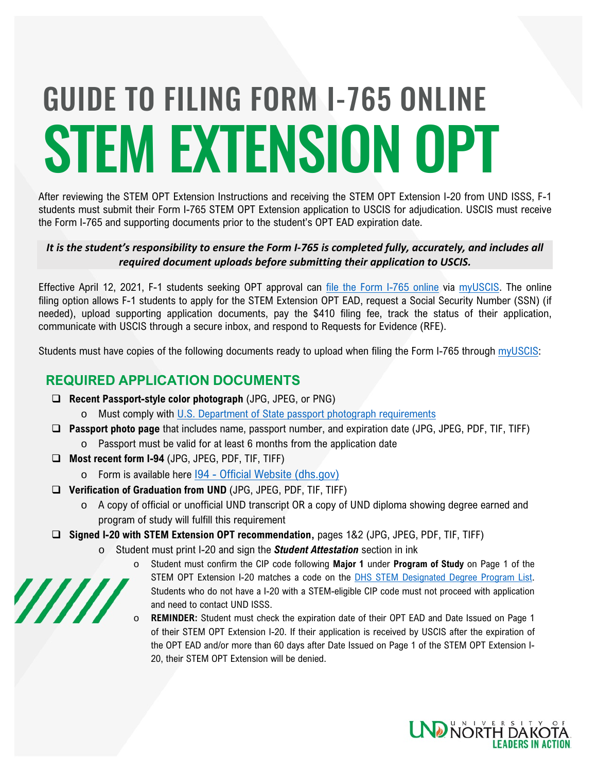# STEM EXTENSION OPT GUIDE TO FILING FORM I-765 ONLINE

After reviewing the STEM OPT Extension Instructions and receiving the STEM OPT Extension I-20 from UND ISSS, F-1 students must submit their Form I-765 STEM OPT Extension application to USCIS for adjudication. USCIS must receive the Form I-765 and supporting documents prior to the student's OPT EAD expiration date.

### *It is the student's responsibility to ensure the Form I-765 is completed fully, accurately, and includes all required document uploads before submitting their application to USCIS.*

Effective April 12, 2021, F-1 students seeking OPT approval can [file the Form I-765 online](https://www.uscis.gov/news/news-releases/f-1-students-seeking-optional-practical-training-can-now-file-form-i-765-online) via [myUSCIS.](https://myaccount.uscis.gov/) The online filing option allows F-1 students to apply for the STEM Extension OPT EAD, request a Social Security Number (SSN) (if needed), upload supporting application documents, pay the \$410 filing fee, track the status of their application, communicate with USCIS through a secure inbox, and respond to Requests for Evidence (RFE).

Students must have copies of the following documents ready to upload when filing the Form I-765 through [myUSCIS:](https://myaccount.uscis.gov/)

# **REQUIRED APPLICATION DOCUMENTS**

- **Recent Passport-style color photograph** (JPG, JPEG, or PNG)
	- o Must comply with [U.S. Department of State passport photograph requirements](https://travel.state.gov/content/travel/en/passports/how-apply/photos.html)
- **Passport photo page** that includes name, passport number, and expiration date (JPG, JPEG, PDF, TIF, TIFF) o Passport must be valid for at least 6 months from the application date
- **Most recent form I-94** (JPG, JPEG, PDF, TIF, TIFF)

77777

- o Form is available here I94 [Official Website \(dhs.gov\)](https://i94.cbp.dhs.gov/I94/#/home)
- **Verification of Graduation from UND** (JPG, JPEG, PDF, TIF, TIFF)
	- o A copy of official or unofficial UND transcript OR a copy of UND diploma showing degree earned and program of study will fulfill this requirement
- **Signed I-20 with STEM Extension OPT recommendation,** pages 1&2 (JPG, JPEG, PDF, TIF, TIFF)
	- o Student must print I-20 and sign the *Student Attestation* section in ink
		- o Student must confirm the CIP code following **Major 1** under **Program of Study** on Page 1 of the STEM OPT Extension I-20 matches a code on the [DHS STEM Designated Degree Program List.](https://www.ice.gov/sites/default/files/documents/stem-list.pdf) Students who do not have a I-20 with a STEM-eligible CIP code must not proceed with application and need to contact UND ISSS.
		- REMINDER: Student must check the expiration date of their OPT EAD and Date Issued on Page 1 of their STEM OPT Extension I-20. If their application is received by USCIS after the expiration of the OPT EAD and/or more than 60 days after Date Issued on Page 1 of the STEM OPT Extension I-20, their STEM OPT Extension will be denied.

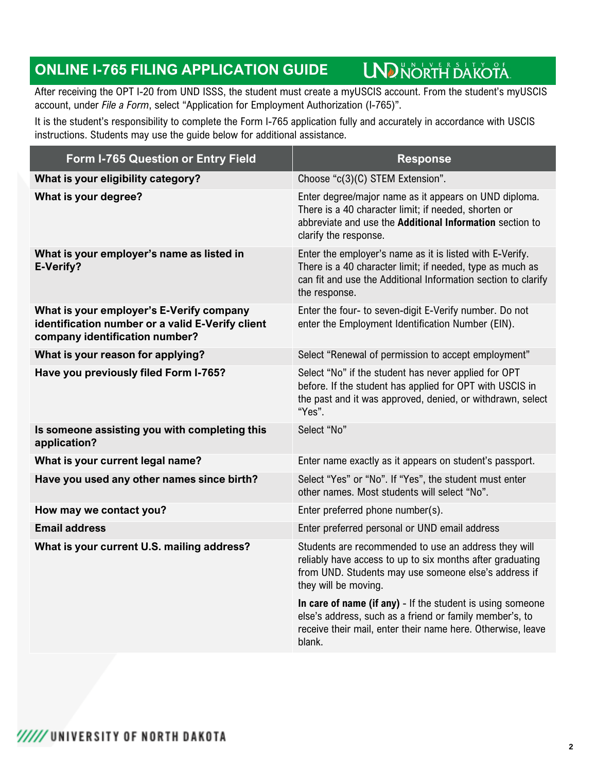#### **LND NORTH DAKOTA ONLINE I-765 FILING APPLICATION GUIDE**

After receiving the OPT I-20 from UND ISSS, the student must create a myUSCIS account. From the student's myUSCIS account, under *File a Form*, select "Application for Employment Authorization (I-765)".

It is the student's responsibility to complete the Form I-765 application fully and accurately in accordance with USCIS instructions. Students may use the guide below for additional assistance.

| Form I-765 Question or Entry Field                                                                                             | <b>Response</b>                                                                                                                                                                                         |
|--------------------------------------------------------------------------------------------------------------------------------|---------------------------------------------------------------------------------------------------------------------------------------------------------------------------------------------------------|
| What is your eligibility category?                                                                                             | Choose "c(3)(C) STEM Extension".                                                                                                                                                                        |
| What is your degree?                                                                                                           | Enter degree/major name as it appears on UND diploma.<br>There is a 40 character limit; if needed, shorten or<br>abbreviate and use the Additional Information section to<br>clarify the response.      |
| What is your employer's name as listed in<br>E-Verify?                                                                         | Enter the employer's name as it is listed with E-Verify.<br>There is a 40 character limit; if needed, type as much as<br>can fit and use the Additional Information section to clarify<br>the response. |
| What is your employer's E-Verify company<br>identification number or a valid E-Verify client<br>company identification number? | Enter the four- to seven-digit E-Verify number. Do not<br>enter the Employment Identification Number (EIN).                                                                                             |
| What is your reason for applying?                                                                                              | Select "Renewal of permission to accept employment"                                                                                                                                                     |
| Have you previously filed Form I-765?                                                                                          | Select "No" if the student has never applied for OPT<br>before. If the student has applied for OPT with USCIS in<br>the past and it was approved, denied, or withdrawn, select<br>"Yes".                |
| Is someone assisting you with completing this<br>application?                                                                  | Select "No"                                                                                                                                                                                             |
| What is your current legal name?                                                                                               | Enter name exactly as it appears on student's passport.                                                                                                                                                 |
| Have you used any other names since birth?                                                                                     | Select "Yes" or "No". If "Yes", the student must enter<br>other names. Most students will select "No".                                                                                                  |
| How may we contact you?                                                                                                        | Enter preferred phone number(s).                                                                                                                                                                        |
| <b>Email address</b>                                                                                                           | Enter preferred personal or UND email address                                                                                                                                                           |
| What is your current U.S. mailing address?                                                                                     | Students are recommended to use an address they will<br>reliably have access to up to six months after graduating<br>from UND. Students may use someone else's address if<br>they will be moving.       |
|                                                                                                                                | In care of name (if any) - If the student is using someone<br>else's address, such as a friend or family member's, to<br>receive their mail, enter their name here. Otherwise, leave<br>blank.          |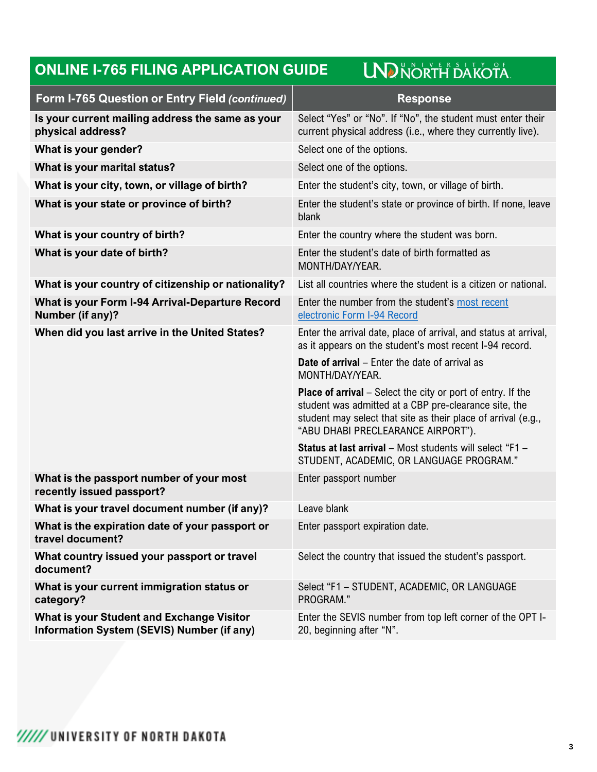## **UND NORTH DAKOTA ONLINE I-765 FILING APPLICATION GUIDE**

| Form I-765 Question or Entry Field (continued)                                                        | <b>Response</b>                                                                                                                                                                                                                    |
|-------------------------------------------------------------------------------------------------------|------------------------------------------------------------------------------------------------------------------------------------------------------------------------------------------------------------------------------------|
| Is your current mailing address the same as your<br>physical address?                                 | Select "Yes" or "No". If "No", the student must enter their<br>current physical address (i.e., where they currently live).                                                                                                         |
| What is your gender?                                                                                  | Select one of the options.                                                                                                                                                                                                         |
| What is your marital status?                                                                          | Select one of the options.                                                                                                                                                                                                         |
| What is your city, town, or village of birth?                                                         | Enter the student's city, town, or village of birth.                                                                                                                                                                               |
| What is your state or province of birth?                                                              | Enter the student's state or province of birth. If none, leave<br>blank                                                                                                                                                            |
| What is your country of birth?                                                                        | Enter the country where the student was born.                                                                                                                                                                                      |
| What is your date of birth?                                                                           | Enter the student's date of birth formatted as<br>MONTH/DAY/YEAR.                                                                                                                                                                  |
| What is your country of citizenship or nationality?                                                   | List all countries where the student is a citizen or national.                                                                                                                                                                     |
| What is your Form I-94 Arrival-Departure Record<br>Number (if any)?                                   | Enter the number from the student's most recent<br>electronic Form I-94 Record                                                                                                                                                     |
| When did you last arrive in the United States?                                                        | Enter the arrival date, place of arrival, and status at arrival,<br>as it appears on the student's most recent I-94 record.                                                                                                        |
|                                                                                                       | <b>Date of arrival</b> - Enter the date of arrival as<br>MONTH/DAY/YEAR.                                                                                                                                                           |
|                                                                                                       | <b>Place of arrival</b> – Select the city or port of entry. If the<br>student was admitted at a CBP pre-clearance site, the<br>student may select that site as their place of arrival (e.g.,<br>"ABU DHABI PRECLEARANCE AIRPORT"). |
|                                                                                                       | Status at last arrival - Most students will select "F1 -<br>STUDENT, ACADEMIC, OR LANGUAGE PROGRAM."                                                                                                                               |
| What is the passport number of your most<br>recently issued passport?                                 | Enter passport number                                                                                                                                                                                                              |
| What is your travel document number (if any)?                                                         | Leave blank                                                                                                                                                                                                                        |
| What is the expiration date of your passport or<br>travel document?                                   | Enter passport expiration date.                                                                                                                                                                                                    |
| What country issued your passport or travel<br>document?                                              | Select the country that issued the student's passport.                                                                                                                                                                             |
| What is your current immigration status or<br>category?                                               | Select "F1 - STUDENT, ACADEMIC, OR LANGUAGE<br>PROGRAM."                                                                                                                                                                           |
| <b>What is your Student and Exchange Visitor</b><br><b>Information System (SEVIS) Number (if any)</b> | Enter the SEVIS number from top left corner of the OPT I-<br>20, beginning after "N".                                                                                                                                              |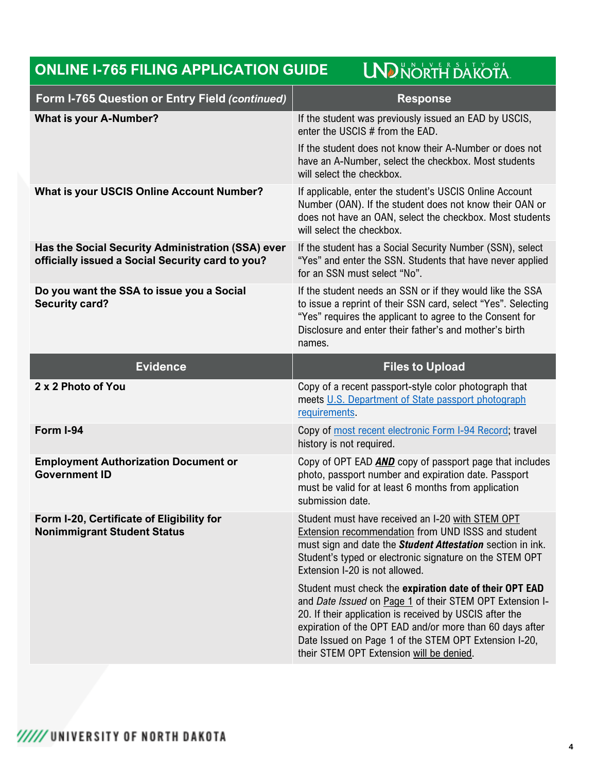| <b>LND NORTH DAKOTA</b><br><b>ONLINE I-765 FILING APPLICATION GUIDE</b>                               |                                                                                                                                                                                                                                                                          |
|-------------------------------------------------------------------------------------------------------|--------------------------------------------------------------------------------------------------------------------------------------------------------------------------------------------------------------------------------------------------------------------------|
| <b>Form I-765 Question or Entry Field (continued)</b>                                                 | <b>Response</b>                                                                                                                                                                                                                                                          |
| <b>What is your A-Number?</b>                                                                         | If the student was previously issued an EAD by USCIS,<br>enter the USCIS # from the EAD.<br>If the student does not know their A-Number or does not<br>have an A-Number, select the checkbox. Most students<br>will select the checkbox.                                 |
| <b>What is your USCIS Online Account Number?</b>                                                      | If applicable, enter the student's USCIS Online Account<br>Number (OAN). If the student does not know their OAN or<br>does not have an OAN, select the checkbox. Most students<br>will select the checkbox.                                                              |
| Has the Social Security Administration (SSA) ever<br>officially issued a Social Security card to you? | If the student has a Social Security Number (SSN), select<br>"Yes" and enter the SSN. Students that have never applied<br>for an SSN must select "No".                                                                                                                   |
| Do you want the SSA to issue you a Social<br><b>Security card?</b>                                    | If the student needs an SSN or if they would like the SSA<br>to issue a reprint of their SSN card, select "Yes". Selecting<br>"Yes" requires the applicant to agree to the Consent for<br>Disclosure and enter their father's and mother's birth<br>names.               |
|                                                                                                       |                                                                                                                                                                                                                                                                          |
| <b>Evidence</b>                                                                                       | <b>Files to Upload</b>                                                                                                                                                                                                                                                   |
| 2 x 2 Photo of You                                                                                    | Copy of a recent passport-style color photograph that<br>meets U.S. Department of State passport photograph<br>requirements.                                                                                                                                             |
| Form I-94                                                                                             | Copy of most recent electronic Form I-94 Record; travel<br>history is not required.                                                                                                                                                                                      |
| <b>Employment Authorization Document or</b><br><b>Government ID</b>                                   | Copy of OPT EAD <b>AND</b> copy of passport page that includes<br>photo, passport number and expiration date. Passport<br>must be valid for at least 6 months from application<br>submission date.                                                                       |
| Form I-20, Certificate of Eligibility for<br><b>Nonimmigrant Student Status</b>                       | Student must have received an I-20 with STEM OPT<br>Extension recommendation from UND ISSS and student<br>must sign and date the <b>Student Attestation</b> section in ink.<br>Student's typed or electronic signature on the STEM OPT<br>Extension I-20 is not allowed. |